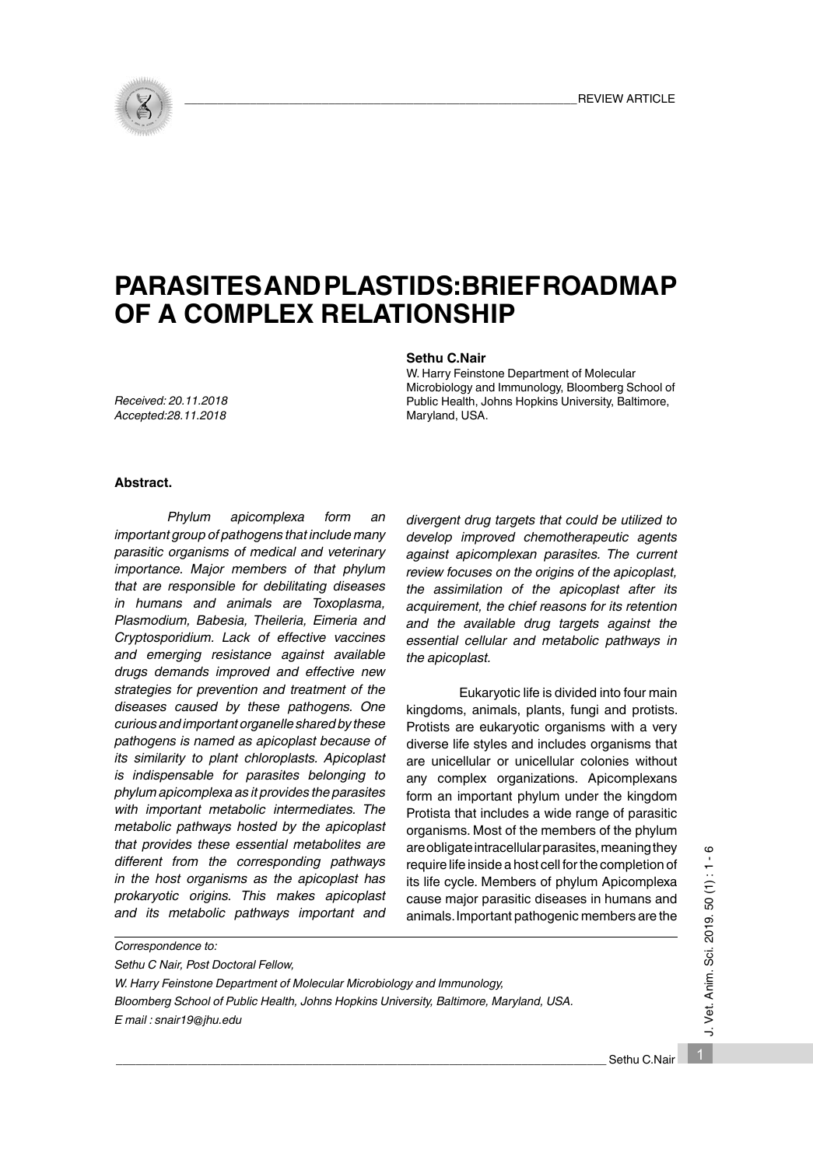

# **PARASITES AND PLASTIDS: BRIEF ROADMAP OF A COMPLEX RELATIONSHIP**

## **Sethu C.Nair**

W. Harry Feinstone Department of Molecular Microbiology and Immunology, Bloomberg School of Public Health, Johns Hopkins University, Baltimore, Maryland, USA.

*Received: 20.11.2018 Accepted:28.11.2018*

*Correspondence to:*

## **Abstract.**

*Phylum apicomplexa form an important group of pathogens that include many parasitic organisms of medical and veterinary importance. Major members of that phylum that are responsible for debilitating diseases in humans and animals are Toxoplasma, Plasmodium, Babesia, Theileria, Eimeria and Cryptosporidium. Lack of effective vaccines and emerging resistance against available drugs demands improved and effective new strategies for prevention and treatment of the diseases caused by these pathogens. One curious and important organelle shared by these pathogens is named as apicoplast because of its similarity to plant chloroplasts. Apicoplast is indispensable for parasites belonging to phylum apicomplexa as it provides the parasites with important metabolic intermediates. The metabolic pathways hosted by the apicoplast that provides these essential metabolites are different from the corresponding pathways in the host organisms as the apicoplast has prokaryotic origins. This makes apicoplast and its metabolic pathways important and* 

*divergent drug targets that could be utilized to develop improved chemotherapeutic agents against apicomplexan parasites. The current review focuses on the origins of the apicoplast, the assimilation of the apicoplast after its acquirement, the chief reasons for its retention and the available drug targets against the essential cellular and metabolic pathways in the apicoplast.*

 Eukaryotic life is divided into four main kingdoms, animals, plants, fungi and protists. Protists are eukaryotic organisms with a very diverse life styles and includes organisms that are unicellular or unicellular colonies without any complex organizations. Apicomplexans form an important phylum under the kingdom Protista that includes a wide range of parasitic organisms. Most of the members of the phylum are obligate intracellular parasites, meaning they require life inside a host cell for the completion of its life cycle. Members of phylum Apicomplexa cause major parasitic diseases in humans and animals. Important pathogenic members are the

*Sethu C Nair, Post Doctoral Fellow, W. Harry Feinstone Department of Molecular Microbiology and Immunology, Bloomberg School of Public Health, Johns Hopkins University, Baltimore, Maryland, USA. E mail : snair19@jhu.edu*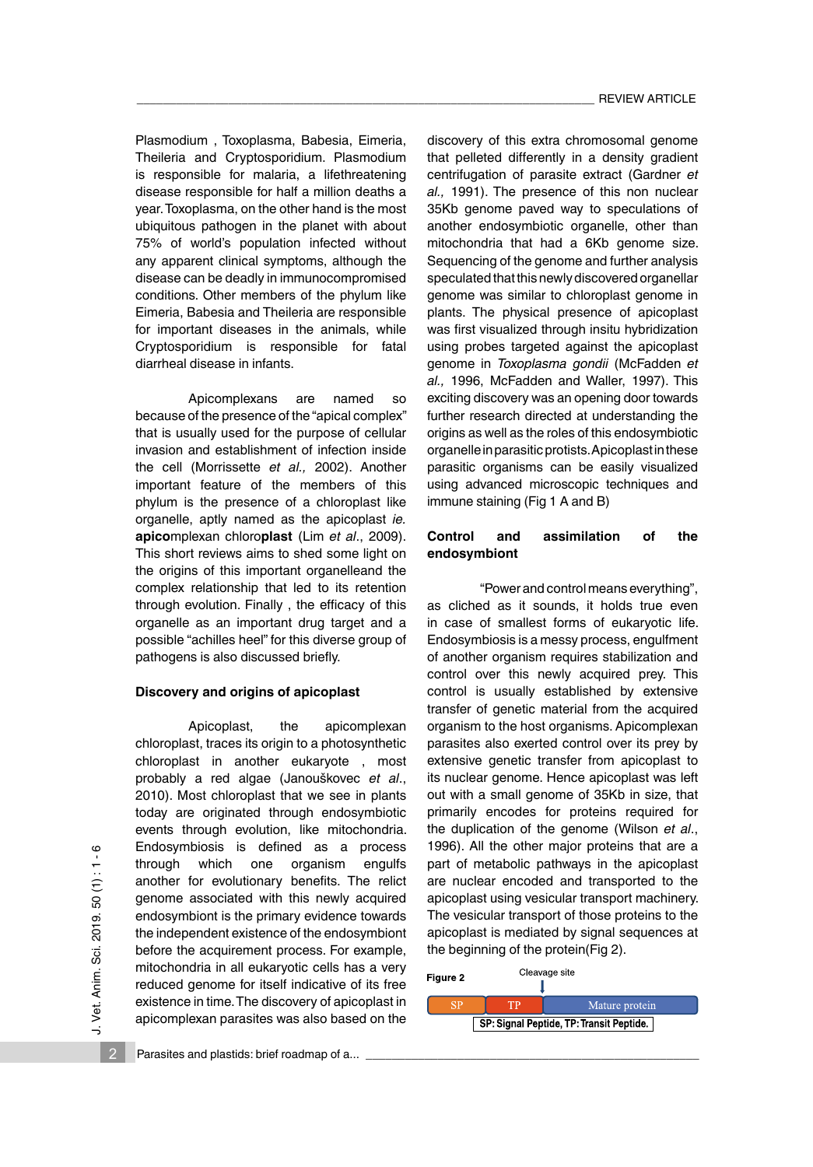Plasmodium , Toxoplasma, Babesia, Eimeria, Theileria and Cryptosporidium. Plasmodium is responsible for malaria, a lifethreatening disease responsible for half a million deaths a year. Toxoplasma, on the other hand is the most ubiquitous pathogen in the planet with about 75% of world's population infected without any apparent clinical symptoms, although the disease can be deadly in immunocompromised conditions. Other members of the phylum like Eimeria, Babesia and Theileria are responsible for important diseases in the animals, while Cryptosporidium is responsible for fatal diarrheal disease in infants.

Apicomplexans are named so because of the presence of the "apical complex" that is usually used for the purpose of cellular invasion and establishment of infection inside the cell (Morrissette *et al.,* 2002). Another important feature of the members of this phylum is the presence of a chloroplast like organelle, aptly named as the apicoplast *ie.* **apico**mplexan chloro**plast** (Lim *et al*., 2009). This short reviews aims to shed some light on the origins of this important organelleand the complex relationship that led to its retention through evolution. Finally , the efficacy of this organelle as an important drug target and a possible "achilles heel" for this diverse group of pathogens is also discussed briefly.

#### **Discovery and origins of apicoplast**

Apicoplast, the apicomplexan chloroplast, traces its origin to a photosynthetic chloroplast in another eukaryote , most probably a red algae (Janouškovec *et al*., 2010). Most chloroplast that we see in plants today are originated through endosymbiotic events through evolution, like mitochondria. Endosymbiosis is defined as a process through which one organism engulfs another for evolutionary benefits. The relict genome associated with this newly acquired endosymbiont is the primary evidence towards the independent existence of the endosymbiont before the acquirement process. For example, mitochondria in all eukaryotic cells has a very reduced genome for itself indicative of its free existence in time. The discovery of apicoplast in apicomplexan parasites was also based on the

discovery of this extra chromosomal genome that pelleted differently in a density gradient centrifugation of parasite extract (Gardner *et al.,* 1991). The presence of this non nuclear 35Kb genome paved way to speculations of another endosymbiotic organelle, other than mitochondria that had a 6Kb genome size. Sequencing of the genome and further analysis speculated that this newly discovered organellar genome was similar to chloroplast genome in plants. The physical presence of apicoplast was first visualized through insitu hybridization using probes targeted against the apicoplast genome in *Toxoplasma gondii* (McFadden *et al.,* 1996, McFadden and Waller, 1997). This exciting discovery was an opening door towards further research directed at understanding the origins as well as the roles of this endosymbiotic organelle in parasitic protists. Apicoplast in these parasitic organisms can be easily visualized using advanced microscopic techniques and immune staining (Fig 1 A and B)

## **Control and assimilation of the endosymbiont**

"Power and control means everything", as cliched as it sounds, it holds true even in case of smallest forms of eukaryotic life. Endosymbiosis is a messy process, engulfment of another organism requires stabilization and control over this newly acquired prey. This control is usually established by extensive transfer of genetic material from the acquired organism to the host organisms. Apicomplexan parasites also exerted control over its prey by extensive genetic transfer from apicoplast to its nuclear genome. Hence apicoplast was left out with a small genome of 35Kb in size, that primarily encodes for proteins required for the duplication of the genome (Wilson *et al*., 1996). All the other major proteins that are a part of metabolic pathways in the apicoplast are nuclear encoded and transported to the apicoplast using vesicular transport machinery. The vesicular transport of those proteins to the apicoplast is mediated by signal sequences at the beginning of the protein(Fig 2).

| Figure 2                                 |  | Cleavage site  |
|------------------------------------------|--|----------------|
|                                          |  | Mature protein |
| SP: Signal Peptide, TP: Transit Peptide. |  |                |

2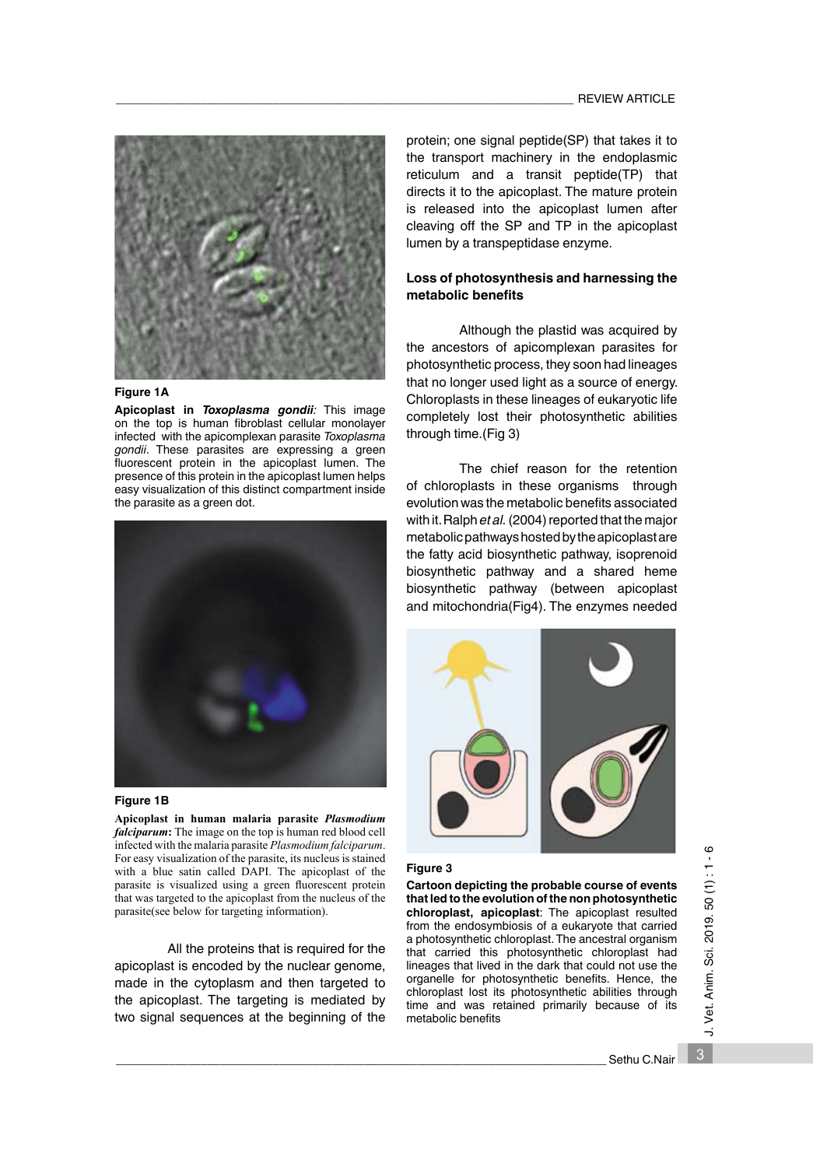

#### **Figure 1A**

**Apicoplast in** *Toxoplasma gondii:* This image on the top is human fibroblast cellular monolayer infected with the apicomplexan parasite *Toxoplasma gondii*. These parasites are expressing a green fluorescent protein in the apicoplast lumen. The presence of this protein in the apicoplast lumen helps easy visualization of this distinct compartment inside the parasite as a green dot.



#### **Figure 1B**

**Apicoplast in human malaria parasite** *Plasmodium falciparum***:** The image on the top is human red blood cell infected with the malaria parasite *Plasmodium falciparum*. For easy visualization of the parasite, its nucleus is stained with a blue satin called DAPI. The apicoplast of the parasite is visualized using a green fluorescent protein that was targeted to the apicoplast from the nucleus of the parasite(see below for targeting information).

All the proteins that is required for the apicoplast is encoded by the nuclear genome, made in the cytoplasm and then targeted to the apicoplast. The targeting is mediated by two signal sequences at the beginning of the protein; one signal peptide(SP) that takes it to the transport machinery in the endoplasmic reticulum and a transit peptide(TP) that directs it to the apicoplast. The mature protein is released into the apicoplast lumen after cleaving off the SP and TP in the apicoplast lumen by a transpeptidase enzyme.

## **Loss of photosynthesis and harnessing the metabolic benefits**

Although the plastid was acquired by the ancestors of apicomplexan parasites for photosynthetic process, they soon had lineages that no longer used light as a source of energy. Chloroplasts in these lineages of eukaryotic life completely lost their photosynthetic abilities through time.(Fig 3)

 The chief reason for the retention of chloroplasts in these organisms through evolution was the metabolic benefits associated with it. Ralph *et al.* (2004) reported that the major metabolic pathways hosted by the apicoplast are the fatty acid biosynthetic pathway, isoprenoid biosynthetic pathway and a shared heme biosynthetic pathway (between apicoplast and mitochondria(Fig4). The enzymes needed



#### **Figure 3**

**Cartoon depicting the probable course of events that led to the evolution of the non photosynthetic chloroplast, apicoplast**: The apicoplast resulted from the endosymbiosis of a eukaryote that carried a photosynthetic chloroplast. The ancestral organism that carried this photosynthetic chloroplast had lineages that lived in the dark that could not use the organelle for photosynthetic benefits. Hence, the chloroplast lost its photosynthetic abilities through time and was retained primarily because of its metabolic benefits

3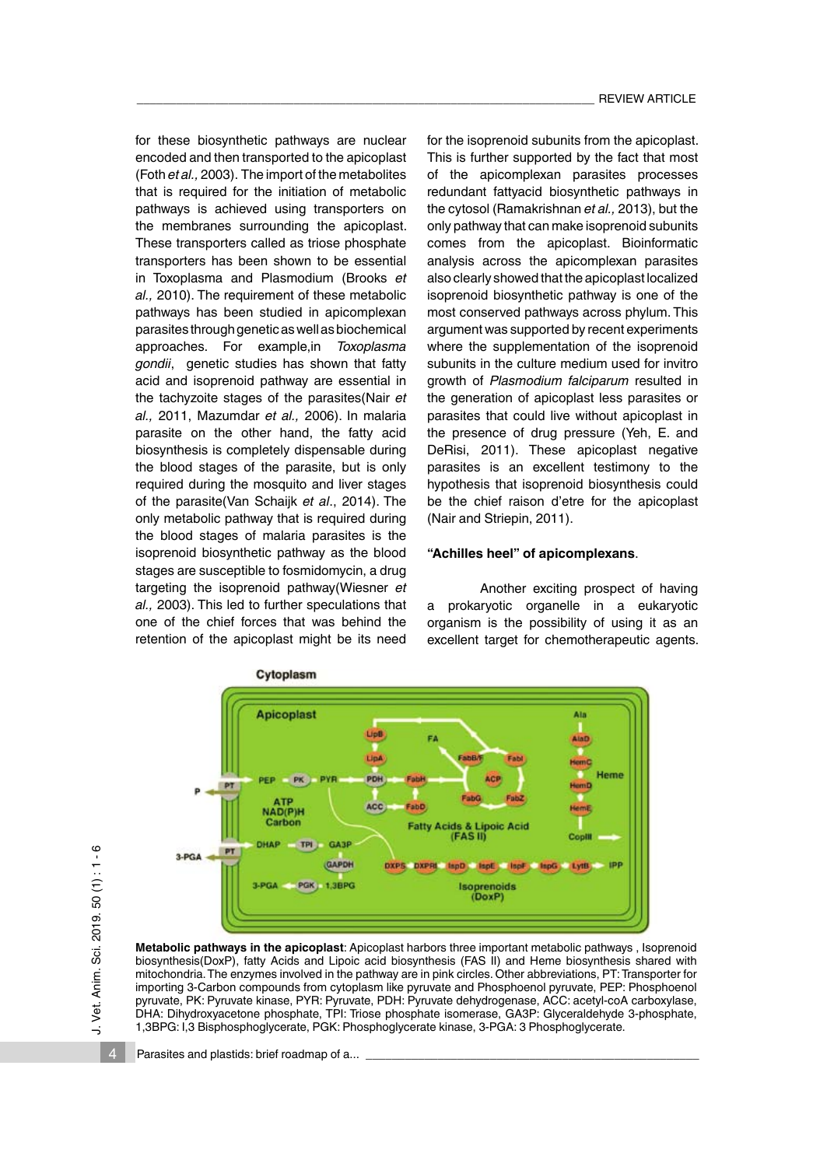for these biosynthetic pathways are nuclear encoded and then transported to the apicoplast (Foth *et al.,* 2003). The import of the metabolites that is required for the initiation of metabolic pathways is achieved using transporters on the membranes surrounding the apicoplast. These transporters called as triose phosphate transporters has been shown to be essential in Toxoplasma and Plasmodium (Brooks *et al.,* 2010). The requirement of these metabolic pathways has been studied in apicomplexan parasites through genetic as well as biochemical approaches. For example,in *Toxoplasma gondii*, genetic studies has shown that fatty acid and isoprenoid pathway are essential in the tachyzoite stages of the parasites(Nair *et al.,* 2011, Mazumdar *et al.,* 2006). In malaria parasite on the other hand, the fatty acid biosynthesis is completely dispensable during the blood stages of the parasite, but is only required during the mosquito and liver stages of the parasite(Van Schaijk *et al*., 2014). The only metabolic pathway that is required during the blood stages of malaria parasites is the isoprenoid biosynthetic pathway as the blood stages are susceptible to fosmidomycin, a drug targeting the isoprenoid pathway(Wiesner *et al.,* 2003). This led to further speculations that one of the chief forces that was behind the retention of the apicoplast might be its need

for the isoprenoid subunits from the apicoplast. This is further supported by the fact that most of the apicomplexan parasites processes redundant fattyacid biosynthetic pathways in the cytosol (Ramakrishnan *et al.,* 2013), but the only pathway that can make isoprenoid subunits comes from the apicoplast. Bioinformatic analysis across the apicomplexan parasites also clearly showed that the apicoplast localized isoprenoid biosynthetic pathway is one of the most conserved pathways across phylum. This argument was supported by recent experiments where the supplementation of the isoprenoid subunits in the culture medium used for invitro growth of *Plasmodium falciparum* resulted in the generation of apicoplast less parasites or parasites that could live without apicoplast in the presence of drug pressure (Yeh, E. and DeRisi, 2011). These apicoplast negative parasites is an excellent testimony to the hypothesis that isoprenoid biosynthesis could be the chief raison d'etre for the apicoplast (Nair and Striepin, 2011).

# **"Achilles heel" of apicomplexans**.

Another exciting prospect of having prokaryotic organelle in a eukaryotic organism is the possibility of using it as an excellent target for chemotherapeutic agents.



**Metabolic pathways in the apicoplast**: Apicoplast harbors three important metabolic pathways , Isoprenoid biosynthesis(DoxP), fatty Acids and Lipoic acid biosynthesis (FAS II) and Heme biosynthesis shared with mitochondria. The enzymes involved in the pathway are in pink circles. Other abbreviations, PT: Transporter for importing 3-Carbon compounds from cytoplasm like pyruvate and Phosphoenol pyruvate, PEP: Phosphoenol pyruvate, PK: Pyruvate kinase, PYR: Pyruvate, PDH: Pyruvate dehydrogenase, ACC: acetyl-coA carboxylase, DHA: Dihydroxyacetone phosphate, TPI: Triose phosphate isomerase, GA3P: Glyceraldehyde 3-phosphate, 1,3BPG: I,3 Bisphosphoglycerate, PGK: Phosphoglycerate kinase, 3-PGA: 3 Phosphoglycerate.

Parasites and plastids: brief roadmap of a...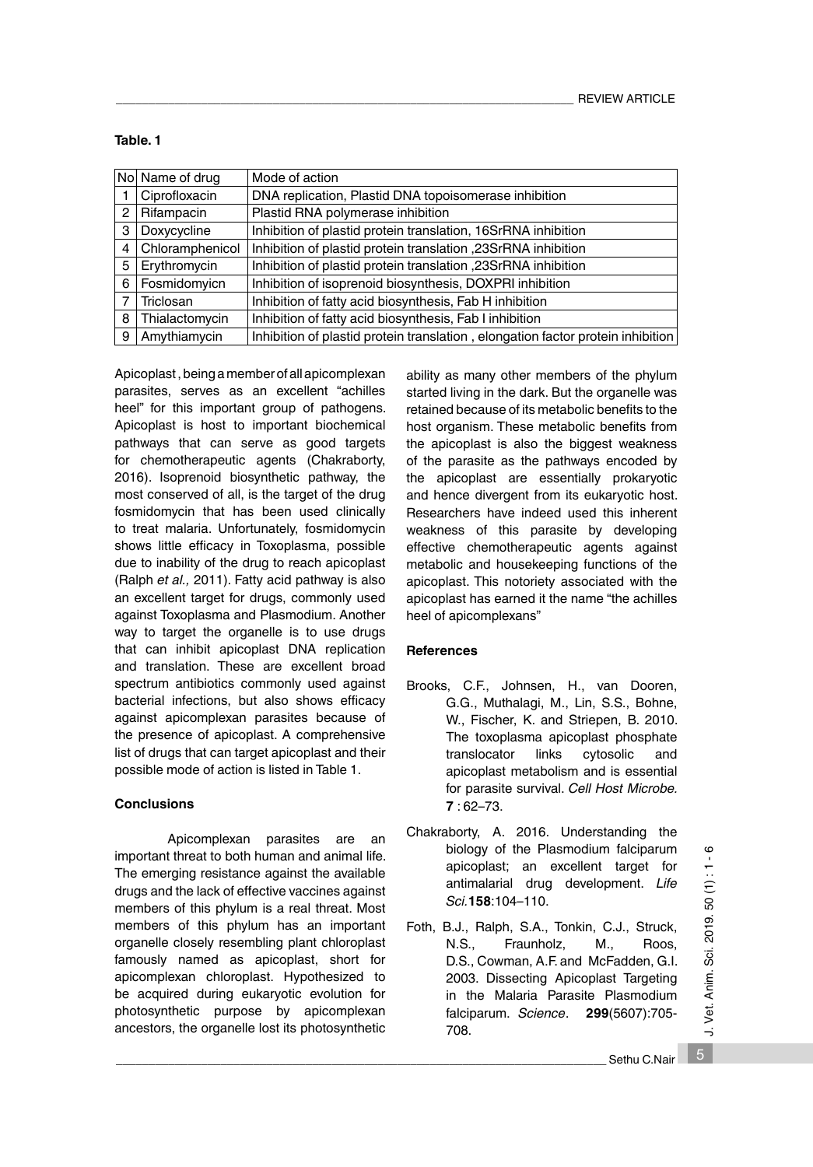|   | No  Name of drug    | Mode of action                                                                  |
|---|---------------------|---------------------------------------------------------------------------------|
|   | Ciprofloxacin       | DNA replication, Plastid DNA topoisomerase inhibition                           |
|   | 2   Rifampacin      | Plastid RNA polymerase inhibition                                               |
|   | 3   Doxycycline     | Inhibition of plastid protein translation, 16SrRNA inhibition                   |
|   | 4   Chloramphenicol | Inhibition of plastid protein translation, 23SrRNA inhibition                   |
| 5 | Erythromycin        | Inhibition of plastid protein translation ,23SrRNA inhibition                   |
|   | 6   Fosmidomyicn    | Inhibition of isoprenoid biosynthesis, DOXPRI inhibition                        |
| 7 | Triclosan           | Inhibition of fatty acid biosynthesis, Fab H inhibition                         |
| 8 | Thialactomycin      | Inhibition of fatty acid biosynthesis, Fab I inhibition                         |
| 9 | Amythiamycin        | Inhibition of plastid protein translation, elongation factor protein inhibition |

**Table. 1**

Apicoplast , being a member of all apicomplexan parasites, serves as an excellent "achilles heel" for this important group of pathogens. Apicoplast is host to important biochemical pathways that can serve as good targets for chemotherapeutic agents (Chakraborty, 2016). Isoprenoid biosynthetic pathway, the most conserved of all, is the target of the drug fosmidomycin that has been used clinically to treat malaria. Unfortunately, fosmidomycin shows little efficacy in Toxoplasma, possible due to inability of the drug to reach apicoplast (Ralph *et al.,* 2011). Fatty acid pathway is also an excellent target for drugs, commonly used against Toxoplasma and Plasmodium. Another way to target the organelle is to use drugs that can inhibit apicoplast DNA replication and translation. These are excellent broad spectrum antibiotics commonly used against bacterial infections, but also shows efficacy against apicomplexan parasites because of the presence of apicoplast. A comprehensive list of drugs that can target apicoplast and their possible mode of action is listed in Table 1.

# **Conclusions**

Apicomplexan parasites are an important threat to both human and animal life. The emerging resistance against the available drugs and the lack of effective vaccines against members of this phylum is a real threat. Most members of this phylum has an important organelle closely resembling plant chloroplast famously named as apicoplast, short for apicomplexan chloroplast. Hypothesized to be acquired during eukaryotic evolution for photosynthetic purpose by apicomplexan ancestors, the organelle lost its photosynthetic

ability as many other members of the phylum started living in the dark. But the organelle was retained because of its metabolic benefits to the host organism. These metabolic benefits from the apicoplast is also the biggest weakness of the parasite as the pathways encoded by the apicoplast are essentially prokaryotic and hence divergent from its eukaryotic host. Researchers have indeed used this inherent weakness of this parasite by developing effective chemotherapeutic agents against metabolic and housekeeping functions of the apicoplast. This notoriety associated with the apicoplast has earned it the name "the achilles heel of apicomplexans"

# **References**

- Brooks, C.F., Johnsen, H., van Dooren, G.G., Muthalagi, M., Lin, S.S., Bohne, W., Fischer, K. and Striepen, B. 2010. The toxoplasma apicoplast phosphate translocator links cytosolic and apicoplast metabolism and is essential for parasite survival. *Cell Host Microbe.*  **7** : 62–73.
- Chakraborty, A. 2016. Understanding the biology of the Plasmodium falciparum apicoplast; an excellent target for antimalarial drug development. *Life Sci.***158**:104–110.
- Foth, B.J., Ralph, S.A., Tonkin, C.J., Struck, N.S., Fraunholz, M., Roos, D.S., Cowman, A.F. and McFadden, G.I. 2003. Dissecting Apicoplast Targeting in the Malaria Parasite Plasmodium falciparum. *Science*. **299**(5607):705- 708.

5